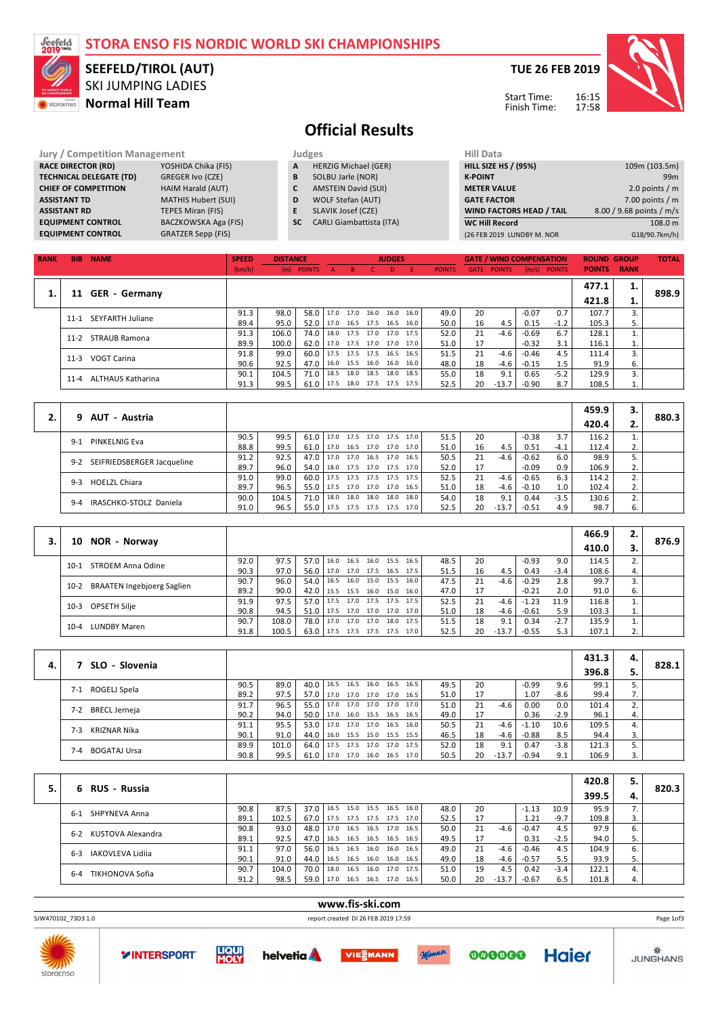| Jeefeld<br>2019™ |                                            | STORA ENSO FIS NORDIC WORLD SKI CHAMPIONSHIPS<br><b>SEEFELD/TIROL (AUT)</b>                                                                                                                                                                           |                        |                                  |               |                   |                                                                                                                                  |                                                                |                   |               |                                    |                                                                         |                                 |               | <b>TUE 26 FEB 2019</b>              |             |                                                                                                     |
|------------------|--------------------------------------------|-------------------------------------------------------------------------------------------------------------------------------------------------------------------------------------------------------------------------------------------------------|------------------------|----------------------------------|---------------|-------------------|----------------------------------------------------------------------------------------------------------------------------------|----------------------------------------------------------------|-------------------|---------------|------------------------------------|-------------------------------------------------------------------------|---------------------------------|---------------|-------------------------------------|-------------|-----------------------------------------------------------------------------------------------------|
|                  | storaenso                                  | <b>SKI JUMPING LADIES</b><br><b>Normal Hill Team</b>                                                                                                                                                                                                  |                        |                                  |               |                   |                                                                                                                                  |                                                                |                   |               |                                    |                                                                         | Start Time:<br>Finish Time:     |               | 16:15<br>17:58                      |             |                                                                                                     |
|                  |                                            |                                                                                                                                                                                                                                                       |                        |                                  |               |                   |                                                                                                                                  | <b>Official Results</b>                                        |                   |               |                                    |                                                                         |                                 |               |                                     |             |                                                                                                     |
|                  |                                            |                                                                                                                                                                                                                                                       |                        |                                  |               |                   |                                                                                                                                  |                                                                |                   |               |                                    |                                                                         |                                 |               |                                     |             |                                                                                                     |
|                  | <b>ASSISTANT TD</b><br><b>ASSISTANT RD</b> | <b>Jury / Competition Management</b><br><b>RACE DIRECTOR (RD)</b><br>YOSHIDA Chika (FIS)<br><b>TECHNICAL DELEGATE (TD)</b><br>GREGER Ivo (CZE)<br><b>CHIEF OF COMPETITION</b><br>HAIM Harald (AUT)<br><b>MATHIS Hubert (SUI)</b><br>TEPES Miran (FIS) |                        | A<br>B<br>$\mathbf{C}$<br>D<br>E | Judges        |                   | <b>HERZIG Michael (GER)</b><br>SOLBU Jarle (NOR)<br><b>AMSTEIN David (SUI)</b><br><b>WOLF Stefan (AUT)</b><br>SLAVIK Josef (CZE) |                                                                |                   |               | <b>Hill Data</b><br><b>K-POINT</b> | <b>HILL SIZE HS / (95%)</b><br><b>METER VALUE</b><br><b>GATE FACTOR</b> | WIND FACTORS HEAD / TAIL        |               |                                     |             | 109m (103.5m)<br>99 <sub>m</sub><br>2.0 points $/m$<br>7.00 points $/m$<br>8.00 / 9.68 points / m/s |
|                  |                                            | BACZKOWSKA Aga (FIS)<br><b>EQUIPMENT CONTROL</b><br><b>GRATZER Sepp (FIS)</b><br><b>EQUIPMENT CONTROL</b>                                                                                                                                             |                        |                                  | <b>SC</b>     |                   |                                                                                                                                  | <b>CARLI Giambattista (ITA)</b>                                |                   |               |                                    | <b>WC Hill Record</b>                                                   | (26 FEB 2019 LUNDBY M. NOR      |               |                                     |             | 108.0 m<br>G18/90.7km/h)                                                                            |
|                  |                                            |                                                                                                                                                                                                                                                       |                        |                                  |               |                   |                                                                                                                                  |                                                                |                   |               |                                    |                                                                         |                                 |               |                                     |             |                                                                                                     |
| <b>RANK</b>      |                                            | <b>BIB NAME</b>                                                                                                                                                                                                                                       | <b>SPEED</b><br>[km/h] | <b>DISTANCE</b><br>[m]           | <b>POINTS</b> | $\overline{A}$    | $\, {\bf B} \,$                                                                                                                  | <b>JUDGES</b><br>$\mathsf{C}$<br>D                             | E.                | <b>POINTS</b> | <b>GATE</b>                        | <b>POINTS</b>                                                           | <b>GATE / WIND COMPENSATION</b> | [m/s] POINTS  | <b>ROUND GROUP</b><br><b>POINTS</b> | <b>RANK</b> | <b>TOTAL</b>                                                                                        |
|                  |                                            |                                                                                                                                                                                                                                                       |                        |                                  |               |                   |                                                                                                                                  |                                                                |                   |               |                                    |                                                                         |                                 |               | 477.1                               | 1.          |                                                                                                     |
| 1.               |                                            | 11 GER - Germany                                                                                                                                                                                                                                      |                        |                                  |               |                   |                                                                                                                                  |                                                                |                   |               |                                    |                                                                         |                                 |               | 421.8                               | 1.          | 898.9                                                                                               |
|                  |                                            | 11-1 SEYFARTH Juliane                                                                                                                                                                                                                                 | 91.3<br>89.4           | 98.0<br>95.0                     | 58.0<br>52.0  | 17.0<br>17.0      | 17.0<br>16.5 17.5                                                                                                                | 16.0<br>16.0                                                   | 16.0<br>16.5 16.0 | 49.0<br>50.0  | 20<br>16                           | 4.5                                                                     | $-0.07$<br>0.15                 | 0.7<br>$-1.2$ | 107.7<br>105.3                      | 3.<br>5.    |                                                                                                     |
|                  |                                            | 11-2 STRAUB Ramona                                                                                                                                                                                                                                    | 91.3                   | 106.0                            | 74.0          | 18.0              | 17.5                                                                                                                             | 17.0<br>17.0                                                   | 17.5              | 52.0          | 21                                 | $-4.6$                                                                  | $-0.69$                         | 6.7           | 128.1                               | 1.          |                                                                                                     |
|                  |                                            | 11-3 VOGT Carina                                                                                                                                                                                                                                      | 89.9<br>91.8           | 100.0<br>99.0                    | 62.0<br>60.0  | 17.0<br>17.5      | 17.5 17.0<br>17.5                                                                                                                | 17.5<br>16.5                                                   | 17.0 17.0<br>16.5 | 51.0<br>51.5  | 17<br>21                           | $-4.6$                                                                  | $-0.32$<br>$-0.46$              | 3.1<br>4.5    | 116.1<br>111.4                      | 1.<br>3.    |                                                                                                     |
|                  |                                            |                                                                                                                                                                                                                                                       | 90.6<br>90.1           | 92.5<br>104.5                    | 47.0<br>71.0  | 16.0<br>18.5      | 15.5<br>18.0                                                                                                                     | 16.0<br>16.0<br>18.5<br>18.0                                   | 16.0<br>18.5      | 48.0<br>55.0  | 18<br>18                           | $-4.6$<br>9.1                                                           | $-0.15$<br>0.65                 | 1.5<br>$-5.2$ | 91.9<br>129.9                       | 6.<br>3.    |                                                                                                     |
|                  |                                            | 11-4 ALTHAUS Katharina                                                                                                                                                                                                                                | 91.3                   | 99.5                             | 61.0          | 17.5              | 18.0                                                                                                                             | 17.5 17.5                                                      | 17.5              | 52.5          | 20                                 | $-13.7$                                                                 | $-0.90$                         | 8.7           | 108.5                               | 1.          |                                                                                                     |
|                  |                                            |                                                                                                                                                                                                                                                       |                        |                                  |               |                   |                                                                                                                                  |                                                                |                   |               |                                    |                                                                         |                                 |               | 459.9                               | 3.          |                                                                                                     |
| 2.               | 9                                          | AUT - Austria                                                                                                                                                                                                                                         |                        |                                  |               |                   |                                                                                                                                  |                                                                |                   |               |                                    |                                                                         |                                 |               | 420.4                               | 2.          | 880.3                                                                                               |
|                  |                                            | 9-1 PINKELNIG Eva                                                                                                                                                                                                                                     | 90.5                   | 99.5                             | 61.0          |                   |                                                                                                                                  | 17.0 17.5 17.0 17.5 17.0                                       |                   | 51.5          | 20                                 |                                                                         | $-0.38$                         | 3.7           | 116.2                               | 1.          |                                                                                                     |
|                  |                                            |                                                                                                                                                                                                                                                       | 88.8<br>91.2           | 99.5<br>92.5                     | 61.0<br>47.0  | 17.0              | 17.0                                                                                                                             | 17.0 16.5 17.0 17.0 17.0<br>16.5<br>17.0                       | 16.5              | 51.0<br>50.5  | 16<br>21                           | 4.5<br>$-4.6$                                                           | 0.51<br>$-0.62$                 | -4.1<br>6.0   | 112.4<br>98.9                       | 2.<br>5.    |                                                                                                     |
|                  |                                            | 9-2 SEIFRIEDSBERGER Jacqueline                                                                                                                                                                                                                        | 89.7                   | 96.0                             | 54.0          | 18.0<br>17.5      | 17.5<br>17.5                                                                                                                     | 17.0<br>17.5<br>17.5                                           | 17.0<br>17.5 17.5 | 52.0          | 17<br>21                           |                                                                         | $-0.09$                         | 0.9           | 106.9                               | 2.<br>2.    |                                                                                                     |
|                  |                                            | 9-3 HOELZL Chiara                                                                                                                                                                                                                                     | 91.0<br>89.7           | 99.0<br>96.5                     | 60.0<br>55.0  | 17.5              | 17.0                                                                                                                             | 17.0<br>17.0                                                   | 16.5              | 52.5<br>51.0  | 18                                 | $-4.6$<br>-4.6                                                          | $-0.65$<br>$-0.10$              | 6.3<br>1.0    | 114.2<br>102.4                      | 2.          |                                                                                                     |
|                  |                                            | 9-4 IRASCHKO-STOLZ Daniela                                                                                                                                                                                                                            | 90.0<br>91.0           | 104.5<br>96.5                    | 71.0<br>55.0  | 18.0<br>17.5 17.5 | 18.0                                                                                                                             | 18.0<br>18.0<br>17.5 17.5                                      | 18.0<br>17.0      | 54.0<br>52.5  | 18<br>20                           | 9.1<br>$-13.7$                                                          | 0.44<br>$-0.51$                 | $-3.5$<br>4.9 | 130.6<br>98.7                       | 2.<br>6.    |                                                                                                     |
|                  |                                            |                                                                                                                                                                                                                                                       |                        |                                  |               |                   |                                                                                                                                  |                                                                |                   |               |                                    |                                                                         |                                 |               |                                     |             |                                                                                                     |
| 3.               |                                            | 10 NOR - Norway                                                                                                                                                                                                                                       |                        |                                  |               |                   |                                                                                                                                  |                                                                |                   |               |                                    |                                                                         |                                 |               | 466.9                               | 2.          | 876.9                                                                                               |
|                  |                                            |                                                                                                                                                                                                                                                       |                        |                                  |               |                   |                                                                                                                                  |                                                                |                   |               |                                    |                                                                         |                                 |               | 410.0                               | 3.          |                                                                                                     |
|                  |                                            | 10-1 STROEM Anna Odine                                                                                                                                                                                                                                | 92.0<br>90.3           | 97.5<br>97.0                     |               |                   |                                                                                                                                  | 57.0 16.0 16.5 16.0 15.5 16.5<br>56.0 17.0 17.0 17.5 16.5 17.5 |                   | 48.5<br>51.5  | 20<br>16                           | 4.5                                                                     | $-0.93$<br>0.43                 | 9.0<br>$-3.4$ | 114.5<br>108.6                      | 2.<br>4.    |                                                                                                     |
|                  |                                            | 10-2 BRAATEN Ingebjoerg Saglien                                                                                                                                                                                                                       | 90.7<br>89.2           | 96.0<br>90.0                     |               |                   |                                                                                                                                  | 54.0 16.5 16.0 15.0 15.5 16.0<br>42.0 15.5 15.5 16.0 15.0 16.0 |                   | 47.5<br>47.0  | 21<br>17                           | -4.6                                                                    | $-0.29$<br>$-0.21$              | 2.8<br>2.0    | 99.7<br>91.0                        | 3.<br>6.    |                                                                                                     |
|                  |                                            | 10-3 OPSETH Silje                                                                                                                                                                                                                                     | 91.9                   | 97.5                             |               |                   |                                                                                                                                  | 57.0 17.5 17.0 17.5 17.5 17.5                                  |                   | 52.5          | 21                                 | $-4.6$                                                                  | $-1.23$                         | 11.9          | 116.8                               | 1.          |                                                                                                     |
|                  |                                            |                                                                                                                                                                                                                                                       | 90.8<br>90.7           | 94.5<br>108.0                    | 78.0          |                   |                                                                                                                                  | 51.0 17.5 17.0 17.0 17.0 17.0<br>17.0 17.0 17.0 18.0 17.5      |                   | 51.0<br>51.5  | 18<br>18                           | -4.6<br>9.1                                                             | $-0.61$<br>0.34                 | 5.9<br>$-2.7$ | 103.3<br>135.9                      | 1.<br>1.    |                                                                                                     |
|                  |                                            | 10-4 LUNDBY Maren                                                                                                                                                                                                                                     | 91.8                   | 100.5                            |               |                   |                                                                                                                                  | 63.0 17.5 17.5 17.5 17.5 17.0                                  |                   | 52.5          | 20                                 | $-13.7$                                                                 | $-0.55$                         | 5.3           | 107.1                               | 2.          |                                                                                                     |
|                  |                                            |                                                                                                                                                                                                                                                       |                        |                                  |               |                   |                                                                                                                                  |                                                                |                   |               |                                    |                                                                         |                                 |               |                                     |             |                                                                                                     |
| 4.               |                                            | 7 SLO - Slovenia                                                                                                                                                                                                                                      |                        |                                  |               |                   |                                                                                                                                  |                                                                |                   |               |                                    |                                                                         |                                 |               | 431.3<br>396.8                      | 4.<br>5.    | 828.1                                                                                               |
|                  |                                            | 74.000010001                                                                                                                                                                                                                                          | 90.5                   | 89.0                             |               |                   |                                                                                                                                  | 40.0 16.5 16.5 16.0 16.5 16.5                                  |                   | 49.5          | 20                                 |                                                                         | $-0.99$                         | 9.6           | 99.1                                | 5.          |                                                                                                     |

|                             |      |       |      |      |                          |                |      |           |      |    |         |         |        | 396.8 |     |  |
|-----------------------------|------|-------|------|------|--------------------------|----------------|------|-----------|------|----|---------|---------|--------|-------|-----|--|
| ROGELJ Spela<br>$7-1$       | 90.5 | 89.0  | 40.0 |      | $16.5$ 16.5 16.0         |                |      | 16.5 16.5 | 49.5 | 20 |         | $-0.99$ | 9.6    | 99.1  | J., |  |
|                             | 89.2 | 97.5  | 57.0 |      | 17.0 17.0 17.0 17.0 16.5 |                |      |           | 51.0 |    |         | 1.07    | $-8.6$ | 99.4  |     |  |
| <b>BRECL Jerneja</b><br>7-2 | 91.7 | 96.5  | 55.0 | 17.0 | 17.0                     | 17.0           |      | 17.0 17.0 | 51.0 | 21 | -4.6    | 0.00    | 0.0    | 101.4 | 2.  |  |
|                             | 90.2 | 94.0  | 50.0 | 17.0 |                          | 16.0 15.5 16.5 |      | 16.5      | 49.0 |    |         | 0.36    | $-2.9$ | 96.1  | 4.  |  |
| KRIZNAR Nika<br>7-3         | 91.1 | 95.5  | 53.0 | 17.0 | 17.0 17.0                |                | 16.5 | 16.0      | 50.5 | 21 | -4.6    | $-1.10$ | 10.6   | 109.5 | 4.  |  |
|                             | 90.1 | 91.0  | 44.0 |      | 16.0 15.5 15.0 15.5 15.5 |                |      |           | 46.5 | 18 | $-4.6$  | $-0.88$ | 8.5    | 94.4  | 3.  |  |
| <b>BOGATAJ Ursa</b><br>7-4  | 89.9 | 101.0 | 64.0 |      | 17.5 17.5 17.0           |                |      | 17.0 17.5 | 52.0 | 18 | 9.1     | 0.47    | $-3.8$ | 121.3 |     |  |
|                             | 90.8 | 99.5  | 61.0 | 17.0 | 17.0 16.0 16.5 17.0      |                |      |           | 50.5 | 20 | $-13.7$ | $-0.94$ | 9.1    | 106.9 | 3.  |  |

|                              |      |       |             |      |           |                     |      |      |      |    |         |         |        | 420.8 | 5.  |       |
|------------------------------|------|-------|-------------|------|-----------|---------------------|------|------|------|----|---------|---------|--------|-------|-----|-------|
| 6 RUS - Russia               |      |       |             |      |           |                     |      |      |      |    |         |         |        | 399.5 | -4. | 820.3 |
| SHPYNEVA Anna<br>$6 - 1$     | 90.8 | 87.5  | $37.0$ 16.5 |      | 15.0 15.5 |                     | 16.5 | 16.0 | 48.0 | 20 |         | $-1.13$ | 10.9   | 95.9  |     |       |
|                              | 89.1 | 102.5 | 67.0        | 17.5 |           | 17.5 17.5 17.5      |      | 17.0 | 52.5 | 17 |         | 1.21    | $-9.7$ | 109.8 | J.  |       |
| KUSTOVA Alexandra<br>$6 - 2$ | 90.8 | 93.0  | 48.0        | 17.0 | 16.5      | 16.5 17.0           |      | 16.5 | 50.0 | 21 | -4.6    | $-0.47$ | 4.5    | 97.9  |     |       |
|                              | 89.1 | 92.5  | 47.0        | 16.5 | 16.5 16.5 |                     | 16.5 | 16.5 | 49.5 | 17 |         | 0.31    | $-2.5$ | 94.0  |     |       |
| IAKOVLEVA Lidija<br>$6 - 3$  | 91.1 | 97.0  | 56.0        | 16.5 | 16.5      | 16.0                | 16.0 | 16.5 | 49.0 | 21 | $-4.6$  | $-0.46$ | 4.5    | 104.9 |     |       |
|                              | 90.1 | 91.0  | 44.0        | 16.5 |           | 16.5 16.0           | 16.0 | 16.5 | 49.0 | 18 | -4.6    | $-0.57$ | 5.5    | 93.9  |     |       |
| TIKHONOVA Sofia<br>$6 - 4$   | 90.7 | 104.0 | 70.0        | 18.0 | 16.5      | 16.0 17.0           |      | 17.5 | 51.0 | 19 | 4.5     | 0.42    | $-3.4$ | 122.1 |     |       |
|                              | 91.2 | 98.5  | 59.0 17.0   |      |           | 16.5 16.5 17.0 16.5 |      |      | 50.0 | 20 | $-13.7$ | $-0.67$ | 6.5    | 101.8 | 4.  |       |

**www.fis-ski.com** SJW470102\_73D3 1.0 report created DI 26 FEB 2019 17:59 Page 1of3WIDE **LIQUI**<br>**MOLY Haier helvetia** 000000 VIESMANN **VINTERSPORT** Manner Stordenso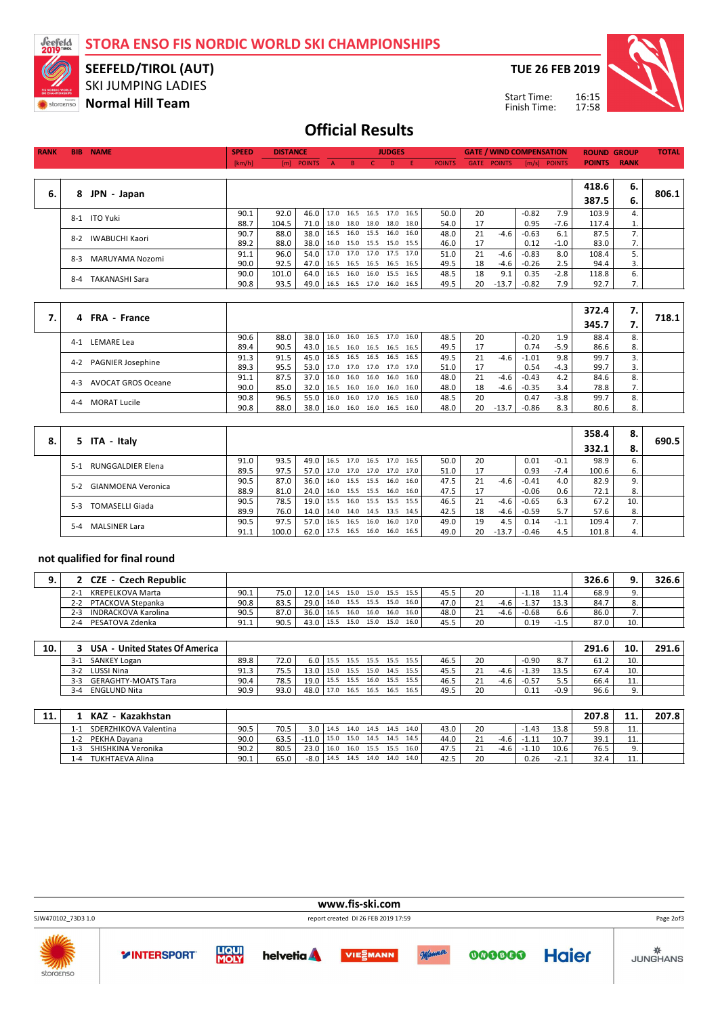**STORA ENSO FIS NORDIC WORLD SKI CHAMPIONSHIPS**



### SKI JUMPING LADIES **SEEFELD/TIROL (AUT)**

**Normal Hill Team**

**TUE 26 FEB 2019**



17:58 Start Time: Finish Time:

# **Official Results**

| <b>RANK</b> | <b>BIB</b> | <b>NAME</b>           | <b>SPEED</b> | <b>DISTANCE</b> |                                     |                          | <b>JUDGES</b> |               |                    | <b>GATE / WIND COMPENSATION</b> |         |                | <b>ROUND GROUP</b> |    | <b>TOTAL</b> |
|-------------|------------|-----------------------|--------------|-----------------|-------------------------------------|--------------------------|---------------|---------------|--------------------|---------------------------------|---------|----------------|--------------------|----|--------------|
|             |            |                       | [km/h]       |                 | [m] POINTS A B C D E                |                          |               | <b>POINTS</b> | <b>GATE POINTS</b> |                                 |         | $[m/s]$ POINTS | <b>POINTS RANK</b> |    |              |
|             |            |                       |              |                 |                                     |                          |               |               |                    |                                 |         |                |                    |    |              |
|             |            |                       |              |                 |                                     |                          |               |               |                    |                                 |         |                | 418.6              | 6. |              |
| 6.          | 8          | JPN - Japan           |              |                 |                                     |                          |               |               |                    |                                 |         |                | 387.5              | 6. | 806.1        |
|             |            | 8-1 ITO Yuki          | 90.1         | 92.0            | 46.0   17.0 16.5 16.5 17.0 16.5     |                          |               | 50.0          | 20                 |                                 | $-0.82$ | 7.9            | 103.9              | 4. |              |
|             |            |                       | 88.7         | 104.5           | 71.0                                | 18.0 18.0 18.0           | 18.0 18.0     | 54.0          | 17                 |                                 | 0.95    | -7.6           | 117.4              |    |              |
|             | $8-2$      | <b>IWABUCHI Kaori</b> | 90.7         | 88.0            | 38.0   16.5 16.0 15.5 16.0 16.0     |                          |               | 48.0          | 21                 | $-4.6$                          | $-0.63$ | 6.1            | 87.5               | 7. |              |
|             |            |                       | 89.2         | 88.0            | 38.0                                | 16.0 15.0 15.5 15.0 15.5 |               | 46.0          | 17                 |                                 | 0.12    | -1.0           | 83.0               | 7. |              |
|             | $8-3$      | MARUYAMA Nozomi       | 91.1         | 96.0            | 54.0   17.0 17.0 17.0 17.5 17.0     |                          |               | 51.0          | 21                 | $-4.6$                          | $-0.83$ | 8.0            | 108.4              |    |              |
|             |            |                       | 90.0         | 92.5            | 47.0   16.5 16.5 16.5 16.5 16.5     |                          |               | 49.5          | 18                 | -4.6                            | $-0.26$ | 2.5            | 94.4               | 3. |              |
|             | 8-4        | <b>TAKANASHI Sara</b> | 90.0         | 101.0           | 64.0   16.5  16.0  16.0  15.5  16.5 |                          |               | 48.5          | 18                 | 9.1                             | 0.35    | $-2.8$         | 118.8              | 6. |              |
|             |            |                       | 90.8         | 93.5            | 49.0   16.5 16.5 17.0 16.0 16.5     |                          |               | 49.5          | 20                 | $-13.7$                         | -0.82   | 7.9            | 92.7               | 7. |              |
|             |            |                       |              |                 |                                     |                          |               |               |                    |                                 |         |                |                    |    |              |

|                                      |      |      |      |           |                            |      |                |      |      |    |         |         |        | 372.4 | 7. |       |
|--------------------------------------|------|------|------|-----------|----------------------------|------|----------------|------|------|----|---------|---------|--------|-------|----|-------|
| <b>FRA</b> - France<br>4             |      |      |      |           |                            |      |                |      |      |    |         |         |        | 345.7 |    | 718.1 |
| LEMARE Lea<br>$4 - 1$                | 90.6 | 88.0 | 38.0 |           | $16.0$ 16.0                |      | 16.5 17.0 16.0 |      | 48.5 | 20 |         | $-0.20$ | 1.9    | 88.4  |    |       |
|                                      | 89.4 | 90.5 | 43.0 | 16.5      | 16.0                       | 16.5 | 16.5           | 16.5 | 49.5 |    |         | 0.74    | $-5.9$ | 86.6  | 8. |       |
| <b>PAGNIER Josephine</b><br>$4 - 2$  | 91.3 | 91.5 | 45.0 | 16.5 16.5 |                            |      | 16.5 16.5 16.5 |      | 49.5 | 21 | $-4.6$  | $-1.01$ | 9.8    | 99.7  |    |       |
|                                      | 89.3 | 95.5 | 53.0 |           | 17.0 17.0 17.0 17.0 17.0   |      |                |      | 51.0 |    |         | 0.54    | $-4.3$ | 99.7  |    |       |
| <b>AVOCAT GROS Oceane</b><br>$4 - 3$ | 91.1 | 87.5 | 37.0 | 16.0      | 16.0                       | 16.0 | 16.0 16.0      |      | 48.0 | 21 | $-4.6$  | $-0.43$ | 4.2    | 84.6  |    |       |
|                                      | 90.0 | 85.0 | 32.0 |           | $16.5$ 16.0 16.0 16.0 16.0 |      |                |      | 48.0 | 18 | -4.6    | $-0.35$ | 3.4    | 78.8  |    |       |
| <b>MORAT Lucile</b><br>$4 - 4$       | 90.8 | 96.5 | 55.0 | 16.0      | 16.0                       |      | 17.0 16.5 16.0 |      | 48.5 | 20 |         | 0.47    | $-3.8$ | 99.7  |    |       |
|                                      | 90.8 | 88.0 | 38.0 |           | $16.0$ 16.0 16.0 16.5 16.0 |      |                |      | 48.0 | 20 | $-13.7$ | $-0.86$ | 8.3    | 80.6  |    |       |

|    |                                    |      |       |               |                                 |      |      |                     |      |      |    |         |         |        | 358.4 | 8.  |       |
|----|------------------------------------|------|-------|---------------|---------------------------------|------|------|---------------------|------|------|----|---------|---------|--------|-------|-----|-------|
| 8. | 5 ITA - Italy                      |      |       |               |                                 |      |      |                     |      |      |    |         |         |        | 332.1 |     | 690.5 |
|    | <b>RUNGGALDIER Elena</b><br>$5-1$  | 91.0 | 93.5  |               | 49.0 16.5 17.0 16.5 17.0        |      |      |                     | 16.5 | 50.0 | 20 |         | 0.01    | $-0.1$ | 98.9  | 6.  |       |
|    |                                    | 89.5 | 97.5  | 57.0          | 17.0 17.0 17.0 17.0 17.0        |      |      |                     |      | 51.0 | 17 |         | 0.93    | $-7.4$ | 100.6 | 6.  |       |
|    | <b>GIANMOENA Veronica</b><br>$5-2$ | 90.5 | 87.0  | $36.0$   16.0 |                                 |      |      | 15.5 15.5 16.0      | 16.0 | 47.5 | 21 | -4.6    | $-0.41$ | 4.0    | 82.9  | 9.  |       |
|    |                                    | 88.9 | 81.0  |               | 24.0   16.0 15.5 15.5 16.0      |      |      |                     | 16.0 | 47.5 |    |         | $-0.06$ | 0.6    | 72.1  | 8.  |       |
|    | <b>TOMASELLI Giada</b><br>$5-3$    | 90.5 | 78.5  | $19.0$   15.5 |                                 |      |      | 16.0 15.5 15.5 15.5 |      | 46.5 | 21 | -4.6    | $-0.65$ | 6.3    | 67.2  | 10. |       |
|    |                                    | 89.9 | 76.0  |               | 14.0   14.0 14.0 14.5 13.5 14.5 |      |      |                     |      | 42.5 | 18 | -4.6    | $-0.59$ | 5.7    | 57.6  | 8.  |       |
|    | <b>MALSINER Lara</b><br>$5 - 4$    | 90.5 | 97.5  | 57.0          | 16.5                            | 16.5 | 16.0 | 16.0 17.0           |      | 49.0 | 19 | 4.5     | 0.14    | $-1.1$ | 109.4 |     |       |
|    |                                    | 91.1 | 100.0 |               | $62.0$   17.5 16.5 16.0         |      |      | 16.0 16.5           |      | 49.0 | 20 | $-13.7$ | $-0.46$ | 4.5    | 101.8 | 4.  |       |

#### **not qualified for final round**

| - Czech Republic<br>CZE               |      |      |             |      |                     |      |      |      |      |    |        |              |      | 326.6 |     | 326.6 |
|---------------------------------------|------|------|-------------|------|---------------------|------|------|------|------|----|--------|--------------|------|-------|-----|-------|
| KREPELKOVA Marta<br>$2 -$             | 90.1 | 75.0 | $12.0$ 14.5 |      | 15.0 15.0 15.5 15.5 |      |      |      | 45.5 | 20 |        | 1.18         | 11.4 | 68.9  |     |       |
| PTACKOVA Stepanka<br>$2 - 2$          | 90.8 | 83.5 | 29.0        | 16.0 | 15.5 15.5           |      | 15.0 | 16.0 | 47.0 |    | $-4.6$ | 1.37<br>- 11 | 13.3 | 84.7  |     |       |
| <b>INDRACKOVA Karolina</b><br>$2 - 3$ | 90.5 | 87.0 | 36.0        | 16.5 | 16.0 16.0           |      | 16.0 | 16.0 | 48.0 |    | $-4.6$ | $-0.68$      | 6.6  | 86.0  |     |       |
| PESATOVA Zdenka<br>$2 - 4$            | 91.1 | 90.5 | 43.0        | 15.5 | 15.0                | 15.0 | 15.0 | 16.0 | 45.5 | 20 |        | 0.19         | -1.5 | 87.0  | 10. |       |

| 10. |         | USA - United States Of America  |      |      |      |                                |                     |      |         |      |    |      |         |        | 291.6   | 10.        | 291.6 |
|-----|---------|---------------------------------|------|------|------|--------------------------------|---------------------|------|---------|------|----|------|---------|--------|---------|------------|-------|
|     | $3-1$   | SANKEY Logan                    | 89.8 | 72.0 |      | 6.0   15.5 15.5 15.5 15.5 15.5 |                     |      |         | 46.5 | 20 |      | $-0.90$ | 8.7    | 61.2    | 10.        |       |
|     | $3 - 2$ | LUSSI Nina                      | 91.3 | 75.5 | 13.0 |                                | 15.0 15.5 15.0      | 14.5 | 15.5    | 45.5 |    | -4.6 | $-1.39$ | 13.5   | 67.4    | 10.        |       |
|     | $3-3$   | <b>GERAGHTY-MOATS Tara</b>      | 90.4 | 78.5 | 19.0 |                                | 15.5 15.5 16.0      | 15.5 | $-15.5$ | 46.5 |    | -4.6 | $-0.57$ |        | 66.4    | <b>LL.</b> |       |
|     | $3 - 4$ | ENGLUND Nita                    | 90.9 | 93.0 | 48.0 |                                | 17.0 16.5 16.5 16.5 |      | 16.5    | 49.5 | 20 |      | 0.11    | $-0.9$ | 96.6    | 9.         |       |
|     |         |                                 |      |      |      |                                |                     |      |         |      |    |      |         |        |         |            |       |
| 11  |         | <b>Votabboton</b><br><b>VA7</b> |      |      |      |                                |                     |      |         |      |    |      |         |        | ו סירהר | 11         | 2070  |

| 11. | - Kazakhstan<br><b>KAZ</b>     |      |      |                       |      |                |           |      |      |      |        |      |         |                                   | 207.8 | - -      | 207.8 |
|-----|--------------------------------|------|------|-----------------------|------|----------------|-----------|------|------|------|--------|------|---------|-----------------------------------|-------|----------|-------|
|     | SDERZHIKOVA Valentina<br>1-1   | 90.5 | 70.5 | 3.0 <sub>1</sub>      | 14.5 | 14.0 14.5 14.5 |           |      | 14.0 | 43.0 | 20     |      | 1.43    | 13.8                              | 59.8  | 11.      |       |
|     | PEKHA Davana<br>1-2            | 90.0 | 63.5 | $-11.0$               | 15.0 | 15.0           | 14.5      | 14.5 | 14.5 | 44.0 |        | -4.6 |         | 10.7                              | 39.1  | 11.      |       |
|     | SHISHKINA Veronika<br>-3       | 90.2 | 80.5 | 23.0                  | 16.0 |                | 16.0 15.5 | 15.5 | 16.0 | 47.5 | $\sim$ | -4.6 | $-1.10$ | 10.6                              | 76.5  | <u>.</u> |       |
|     | <b>TUKHTAEVA Alina</b><br>$-4$ | 90.1 | 65.0 | $-8.0$ $\blacksquare$ | 14.5 | 14.5           | 14.0      | 14.0 | 14.0 | 42.5 | 20     |      | 0.26    | $\overline{\phantom{0}}$<br>-2. ± | 32.4  | <b></b>  |       |
|     |                                |      |      |                       |      |                |           |      |      |      |        |      |         |                                   |       |          |       |